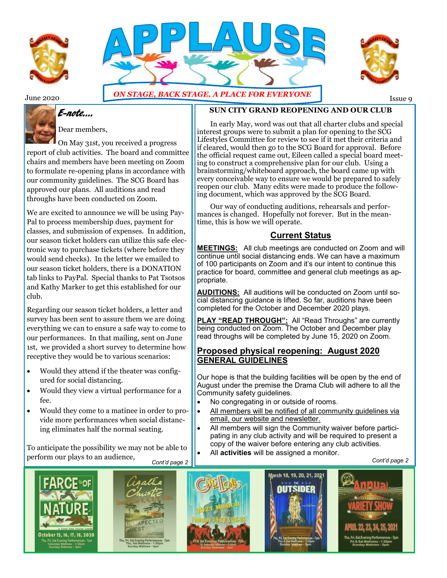





# E-note….



Dear members,

On May 31st, you received a progress report of club activities. The board and committee chairs and members have been meeting on Zoom to formulate re-opening plans in accordance with our community guidelines. The SCG Board has approved our plans. All auditions and read throughs have been conducted on Zoom.

We are excited to announce we will be using Pay-Pal to process membership dues, payment for classes, and submission of expenses. In addition, our season ticket holders can utilize this safe electronic way to purchase tickets (where before they would send checks). In the letter we emailed to our season ticket holders, there is a DONATION tab links to PayPal. Special thanks to Pat Tsotsos and Kathy Marker to get this established for our club.

Regarding our season ticket holders, a letter and survey has been sent to assure them we are doing everything we can to ensure a safe way to come to our performances. In that mailing, sent on June 1st, we provided a short survey to determine how receptive they would be to various scenarios:

- Would they attend if the theater was configured for social distancing.
- Would they view a virtual performance for a fee.
- Would they come to a matinee in order to provide more performances when social distancing eliminates half the normal seating.

To anticipate the possibility we may not be able to perform our plays to an audience,











**SUN CITY GRAND REOPENING AND OUR CLUB**

In early May, word was out that all charter clubs and special interest groups were to submit a plan for opening to the SCG Lifestyles Committee for review to see if it met their criteria and if cleared, would then go to the SCG Board for approval. Before the official request came out, Eileen called a special board meeting to construct a comprehensive plan for our club. Using a brainstorming/whiteboard approach, the board came up with every conceivable way to ensure we would be prepared to safely reopen our club. Many edits were made to produce the following document, which was approved by the SCG Board.

Our way of conducting auditions, rehearsals and performances is changed. Hopefully not forever. But in the meantime, this is how we will operate.

## **Current Status**

**MEETINGS:** All club meetings are conducted on Zoom and will continue until social distancing ends. We can have a maximum of 100 participants on Zoom and it's our intent to continue this practice for board, committee and general club meetings as appropriate.

**AUDITIONS:** All auditions will be conducted on Zoom until social distancing guidance is lifted. So far, auditions have been completed for the October and December 2020 plays.

**PLAY "READ THROUGH":** All "Read Throughs" are currently being conducted on Zoom. The October and December play read throughs will be completed by June 15, 2020 on Zoom.

### **Proposed physical reopening: August 2020 GENERAL GUIDELINES**

Our hope is that the building facilities will be open by the end of August under the premise the Drama Club will adhere to all the Community safety guidelines.

- No congregating in or outside of rooms.
- All members will be notified of all community quidelines via email, our website and newsletter.
- All members will sign the Community waiver before participating in any club activity and will be required to present a copy of the waiver before entering any club activities.
- All **activities** will be assigned a monitor.

*Cont'd page 2* **c** *Cont'd page 2* 

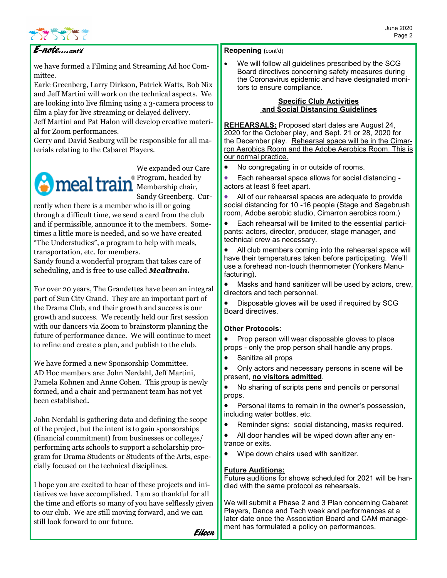

# E-note….cont'd

we have formed a Filming and Streaming Ad hoc Committee.

Earle Greenberg, Larry Dirkson, Patrick Watts, Bob Nix and Jeff Martini will work on the technical aspects. We are looking into live filming using a 3-camera process to film a play for live streaming or delayed delivery.

Jeff Martini and Pat Halon will develop creative material for Zoom performances.

Gerry and David Seaburg will be responsible for all materials relating to the Cabaret Players.



We expanded our Care **Program**, headed by Sandy Greenberg. Cur-

rently when there is a member who is ill or going through a difficult time, we send a card from the club and if permissible, announce it to the members. Sometimes a little more is needed, and so we have created "The Understudies", a program to help with meals, transportation, etc. for members.

Sandy found a wonderful program that takes care of scheduling, and is free to use called *Mealtrain.*

For over 20 years, The Grandettes have been an integral part of Sun City Grand. They are an important part of the Drama Club, and their growth and success is our growth and success. We recently held our first session with our dancers via Zoom to brainstorm planning the future of performance dance. We will continue to meet to refine and create a plan, and publish to the club.

We have formed a new Sponsorship Committee. AD Hoc members are: John Nerdahl, Jeff Martini, Pamela Kohnen and Anne Cohen. This group is newly formed, and a chair and permanent team has not yet been established**.** 

John Nerdahl is gathering data and defining the scope of the project, but the intent is to gain sponsorships (financial commitment) from businesses or colleges/ performing arts schools to support a scholarship program for Drama Students or Students of the Arts, especially focused on the technical disciplines.

I hope you are excited to hear of these projects and initiatives we have accomplished. I am so thankful for all the time and efforts so many of you have selflessly given to our club. We are still moving forward, and we can still look forward to our future.

**Reopening (**cont'd)

We will follow all guidelines prescribed by the SCG Board directives concerning safety measures during the Coronavirus epidemic and have designated monitors to ensure compliance.

#### **Specific Club Activities and Social Distancing Guidelines**

**REHEARSALS:** Proposed start dates are August 24, 2020 for the October play, and Sept. 21 or 28, 2020 for the December play. Rehearsal space will be in the Cimarron Aerobics Room and the Adobe Aerobics Room. This is our normal practice.

• No congregating in or outside of rooms.

• Each rehearsal space allows for social distancing actors at least 6 feet apart.

All of our rehearsal spaces are adequate to provide social distancing for 10 -16 people (Stage and Sagebrush room, Adobe aerobic studio, Cimarron aerobics room.)

• Each rehearsal will be limited to the essential participants: actors, director, producer, stage manager, and technical crew as necessary.

All club members coming into the rehearsal space will have their temperatures taken before participating. We'll use a forehead non-touch thermometer (Yonkers Manufacturing).

• Masks and hand sanitizer will be used by actors, crew, directors and tech personnel.

• Disposable gloves will be used if required by SCG Board directives.

### **Other Protocols:**

• Prop person will wear disposable gloves to place props - only the prop person shall handle any props.

• Sanitize all props

• Only actors and necessary persons in scene will be present, **no visitors admitted**.

No sharing of scripts pens and pencils or personal props.

• Personal items to remain in the owner's possession, including water bottles, etc.

Reminder signs: social distancing, masks required.

• All door handles will be wiped down after any entrance or exits.

• Wipe down chairs used with sanitizer.

### **Future Auditions:**

Future auditions for shows scheduled for 2021 will be handled with the same protocol as rehearsals.

We will submit a Phase 2 and 3 Plan concerning Cabaret Players, Dance and Tech week and performances at a later date once the Association Board and CAM management has formulated a policy on performances.

Eileen